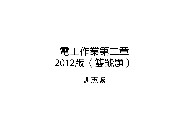# 電工作業第二章 2012版(雙號題)

謝志誠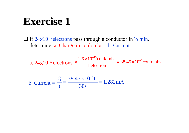## **Exercise 1 Exercise 1**

 $\Box$  If 24×10<sup>16</sup> electrons pass through a conductor in ½ min. determine: a. Charge in coulombs. b. Current.

a. 24×10<sup>16</sup> electrons  $\times \frac{1.6 \times 10^{-19} \text{coulombs}}{1 \text{ electron}} = 38.45 \times 10^{-3} \text{coulombs}$ 

b. Current  $=\frac{Q}{t} = \frac{38.45 \times 10^{-3} C}{30 s} = 1.282 \text{mA}$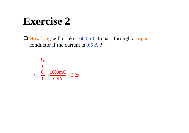## **Exercise 2 Exercise 2**

 $\Box$  How long will it take 1600 mC to pass through a copper conductor if the current is 0.5 A ?

$$
I = \frac{Q}{t}
$$
  

$$
t = \frac{Q}{I} = \frac{1600 \text{mC}}{0.5 \text{A}} = 3.2 \text{s}
$$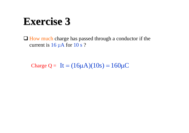## **Exercise 3 Exercise 3**

 $\Box$  How much charge has passed through a conductor if the current is 16 μA for 10 s ?

Charge  $Q = It = (16\mu A)(10s) = 160\mu C$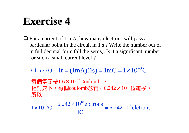# **Exercise 4 Exercise 4**

 $\Box$  For a current of 1 mA, how many electrons will pass a particular point in the circuit in 1 s ? Write the number out of in full decimal form (all the zeros). Is it a significant number for such a small current level ?

Charge Q = It =  $(1mA)(1s) = 1mC = 1 \times 10^{-3}C$ 

每個電子帶1.6×10-19Coulombs, 相對之下,每個coulomb含有 / 6.242×10<sup>18</sup>個電子。 所以,

 $6.24210^{15}$  elctrons 1C $1 \times 10^{-3}$ C  $\times \frac{6.242 \times 10^{18}$  elctrons = 6.24210<sup>15</sup>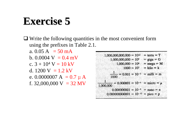# **Exercise 5 Exercise 5**

 $\Box$  Write the following quantities in the most convenient form using the prefixes in Table 2.1.

a.  $0.05 \text{ A} = 50 \text{ mA}$ b. 0.0004  $V = 0.4$  mV c.  $3 + 10^4$  V = 10 kV d. 1200 V =  $1.2$  kV e. 0.0000007 A =  $0.7 \mu$  A f. 32,000,000 V =  $32 \text{ MV}$ 

 $1,000,000,000,000 = 10^{12}$  = terra = T  $1,000,000,000 = 10^9$  = giga = G  $1,000,000 = 10^6$  = mega = M  $1000 = 10^3$  = kilo = k  $\frac{1}{1000}$  = 0.001 = 10<sup>-3</sup> = milli = m  $\frac{1}{1,000,000} = 0.000001 = 10^{-6} = \text{micro} = \mu$  $0.000000001 = 10^{-9}$  = nano = n  $0.000000000001 = 10^{-12}$  = pico = p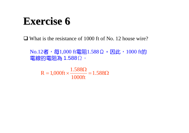## **Exercise 6 Exercise 6**

□ What is the resistance of 1000 ft of No. 12 house wire?

 $No.12$ 者, 每1,000 ft電阻1.588Ω。因此, 1000 ft的 電線的電阻為 1.588Ω。

 $=1.000 \text{ft} \times \frac{1.588 \Omega}{0.001} = 1.588 \Omega$ 1000ft 1.588 $R = 1,000$ ft  $\times$   $\frac{1.188}{1.18}$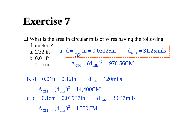## **Exercise** 7

 $\Box$  What is the area in circular mils of wires having the following diameters?a. 1/32 inb. 0.01 ft c. 0.1 cmm  $A_{CM} = (d_{mils})^2 = 976.56CM$  $in = 0.03125$ in d  $= 31.25$ mils 32a.  $d = \frac{1}{22}$  in = 0.03125 in d<sub>mils</sub>  $=$   $-$  III  $=$  0.03120III  $=$  0.51 $=$ 

 $A_{\text{CM}} = (d_{\text{mils}})^2 = 1,550 \text{CM}$ c.  $d = 0.1$ cm = 0.03937in  $d_{\text{mils}} = 39.37$ mils  $\rm A_{\rm CM}^{} = (d_{\rm mils}^{})^2 = 14,\!400CM$ b.  $d = 0.01$ ft = 0.12in  $d_{\text{mils}} = 120$ mils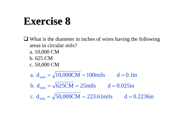# **Exercise 8 Exercise 8**

- $\Box$  What is the diameter in inches of wires having the following areas in circular mils?
	- a. 10,000 CM
	- b. 625 CM
	- c. 50,000 CM

a.  $d_{\text{mils}} = \sqrt{10,000CM} = 100 \text{mils}$  d = 0.1in

- b.  $d_{\text{mils}} = \sqrt{625} CM = 25 \text{mils}$  d = 0.025in
- c.  $d_{\text{mils}} = \sqrt{50,000}$ CM = 223.61mils d = 0.2236in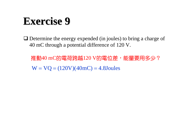# **Exercise 9 Exercise 9**

 $\Box$  Determine the energy expended (in joules) to bring a charge of 40 mC through a potential difference of 120 V.

推動40 mC的電荷跨越120 V的電位差,能量要用多少?  $W = VQ = (120V)(40mC) = 4.8$ Joules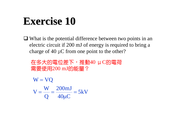# **Exercise 10 Exercise 10**

 What is the potential difference between two points in an electric circuit if 200 mJ of energy is required to bring a charge of 40 μC from one point to the other?

在多大的電位差下,推動40 μC的電荷 需要使用200 mJ的能量?

 $\frac{266 \text{ m}}{40 \mu \text{C}} = 5 \text{kV}$ 200mJ Q W $V = \frac{V}{Q} = \frac{200 \text{ m}}{40 \mu C} =$  $\mathbf{W} = \mathbf{VQ}$  $=$   $=$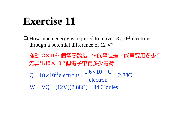# **Exercise 11 Exercise 11**

 $\Box$  How much energy is required to move  $18\times10^{18}$  electrons through a potential difference of 12 V?

推動18×10<sup>18</sup>個電子跨越12V的電位差,能量要用多少? 先算出18×10<sup>18</sup>個電子帶有多少電荷,  $W = VQ = (12V)(2.88C) = 34.6$ Joules 2.88C electron $Q = 18 \times 10^{18}$  electrons  $\times \frac{1.6 \times 10^{-19} C}{\sqrt{10}}$ Ξ  $=$  18  $\times$  10<sup>18</sup> electrons  $\times$   $\xrightarrow{1.6\times}$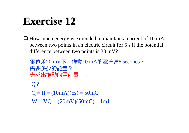# **Exercise** 12

 $\Box$  How much energy is expended to maintain a current of 10 mA between two points in an electric circuit for 5 s if the potential difference between two points is 20 mV?

電位差20 mV下,推動10 mA的電流達5 seconds, 需要多少的能量? 先求出推動的電荷量……

 $W = VQ = (20mV)(50mC) = 1mJ$  $Q = It = (10mA)(5s) = 50mC$ Q?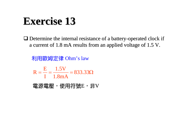# **Exercise 13 Exercise 13**

 $\Box$  Determine the internal resistance of a battery-operated clock if a current of 1.8 mA results from an applied voltage of 1.5 V.

利用歐姆定律 Ohm's law

$$
R = \frac{E}{I} = \frac{1.5V}{1.8mA} = 833.33\Omega
$$

電源電壓,使用符號E,非V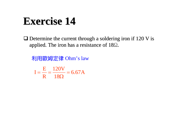# **Exercise 14 Exercise 14**

 $\Box$  Determine the current through a soldering iron if 120 V is applied. The iron has a resistance of 18Ω.

利用歐姆定律 Ohm's law

 $\frac{284}{18\Omega} = 6.67 \text{A}$ 120V R E $I = \frac{R}{R} = \frac{1284}{18\Omega} =$  $=$   $=$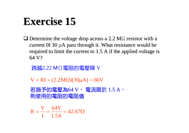# **Exercise 15 Exercise 15**

 $\Box$  Determine the voltage drop across a 2.2 M $\Omega$  resistor with a current 0f 30  $\mu$ A pass through it. What resistance would be required to limit the current to  $1.5$  A if the applied voltage is 64 V?

跨越2.22 MΩ電阻的電壓降 V

 $V = RI = (2.2M\Omega)(30\mu A) = 66V$ 

若施予的電壓為64 V, 電流限於 1.5 A, 則使用的電阻的電阻值 則使用的電阻的電阻值

$$
R = \frac{V}{I} = \frac{64V}{1.5A} = 42.67\Omega
$$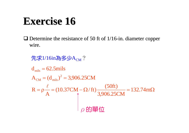# **Exercise 16 Exercise 16**

 $\Box$  Determine the resistance of 50 ft of 1/16-in. diameter copper wire.

 $R = \rho \frac{\ell}{A} = (10.37 \text{CM} - \Omega/\text{ft}) \frac{(50 \text{ft})}{3,906.25 \text{CM}} = 132.74 \text{m}\Omega$  $A_{\text{CM}} = (d_{\text{mils}})^2 = 3,906.25 \text{CM}$  $d<sub>mis</sub> = 62.5mils$  $\ell$ 先求1/16in為多少A<sub>CM</sub>?  $\rho$ 的單位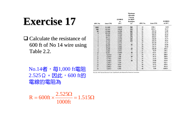# **Exercise 17 Exercise 17**

 $\Box$  Calculate the resistance of 600 ft of No 14 wire using 600 ft of No 14 wire using Table 2.2.

No.14者,每1,000 ft電阻  $2.525$  Ω 。因此,600 ft的 電線的電阻為

| AWG No.                   | Area (CM) | $\Omega/1000$ ft<br>at<br>$20^{\circ}$ C | <b>Maximum</b><br><b>Allowable</b><br>Current<br>for RHW<br><b>Insulation</b><br>$(A)^a$ | AWG No. | Area (CM) | $\Omega/1000$ ft<br>at $20^{\circ}$ C |
|---------------------------|-----------|------------------------------------------|------------------------------------------------------------------------------------------|---------|-----------|---------------------------------------|
| 0000                      | 211,600   | 0.0490                                   | 360                                                                                      | 19      | 1288.1    | 8.051                                 |
| 000                       | 167,810   | 0.0618                                   | 310                                                                                      | 20      | 1021.5    | 10.15                                 |
| 00                        | 133,080   | 0.0780                                   | 265                                                                                      | 21      | 810.10    | 12.80                                 |
| $\bf{0}$                  | 105,530   | 0.0983                                   | 230                                                                                      | 22      | 642.40    | 16.14                                 |
| $\mathbf{1}$              | 83.694    | 0.1240                                   | 195                                                                                      | 23      | 509.45    | 20.36                                 |
|                           | 66.373    | 0.1563                                   | 170                                                                                      | 24      | 404.01    | 35.67                                 |
| $\frac{2}{3}$             | 52,634    | 0.1970                                   | 145                                                                                      | 25      | 320.40    | 32.37                                 |
| $\overline{\bf 4}$        | 41.742    | 0.2485                                   | 125                                                                                      | 26      | 254.10    | 40.81                                 |
| 5                         | 33,102    | 0.3133                                   |                                                                                          | 27      | 201.50    | 51.47                                 |
| 6                         | 26,250    | 0.3951                                   | 95                                                                                       | 28      | 159.79    | 64.90                                 |
| $\overline{\overline{I}}$ | 20,816    | 0.4982                                   |                                                                                          | 29      | 126.72    | 81.83                                 |
| 8                         | 16,509    | 0.6282                                   | 65                                                                                       | 30      | 100.50    | 103.2                                 |
| 9                         | 13,094    | 0.7921                                   |                                                                                          | 31      | 79.70     | 130.1                                 |
| 10                        | 10,381    | 0.9989                                   | 40                                                                                       | 32      | 63.21     | 164.1                                 |
| 11                        | 8.234.0   | 1.260                                    |                                                                                          | 33      | 50.13     | 206.9                                 |
| 12                        | 6,529.9   | 1.588                                    | 25                                                                                       | 34      | 39.75     | 260.9                                 |
| 13                        | 5,178.4   | 2.003                                    |                                                                                          | 35      | 31.52     | 329.0                                 |
| 14                        | 4.106.8   | 2.525                                    | 20                                                                                       | 36      | 25.00     | 414.8                                 |
| 15                        | 3,256.7   | 3.184                                    |                                                                                          | 37      | 19.83     | 523.1                                 |
| 16                        | 2.582.9   | 4.016                                    |                                                                                          | 38      | 15.72     | 659.6                                 |
| 17                        | 2,048.2   | 5.064                                    |                                                                                          | 39      | 12.47     | 831.8                                 |
| 18                        | 1,624.3   | 6.385                                    |                                                                                          | 40      | 9.89      | 1049.0                                |

From the 1965 National Electrical Code, ® published by the National Fire Protection Association.

 $=1.515\Omega$  $= 600 \text{ft} \times \frac{2.525 \Omega}{1000 \text{ft}} = 1.515$  $R = 600$ ft  $\times \frac{2.525}{4.5}$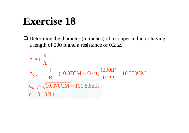# **Exercise 18 Exercise 18**

 $\Box$  Determine the diameter (in inches) of a copper inductor having a length of 200 ft and a resistance of 0.2  $\Omega$ .

$$
R = \rho \frac{\ell}{A} \rightarrow
$$
  
\n
$$
A_{CM} = \rho \frac{\ell}{R} = (10.37CM - \Omega/\text{ft}) \frac{(200\text{ft})}{0.2\Omega} = 10,370CM
$$
  
\n
$$
d_{mils} = \sqrt{10,370CM} = 101.83 \text{mils}
$$
  
\n
$$
d = 0.102 \text{in}
$$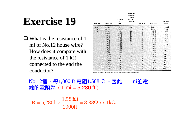# **Exercise 19 Exercise 19**

 $\Box$  What is the resistance of 1 mi of  $\text{No.12}$  house wire? How does it compare with the resistance of 1 k $\Omega$ connected to the end the conductor?

| AWG No.                   | Area (CM) | $\Omega/1000$ ft<br>at<br>$20^{\circ}$ C | Maximum<br><b>Allowable</b><br><b>Current</b><br>for RHW<br><b>Insulation</b><br>$(A)^a$ | AWG No. | Area (CM) | $\Omega/1000$ ft<br>at $20^{\circ}$ C |
|---------------------------|-----------|------------------------------------------|------------------------------------------------------------------------------------------|---------|-----------|---------------------------------------|
| 0000                      | 211,600   | 0.0490                                   | 360                                                                                      | 19      | 1288.1    | 8.051                                 |
| 000                       | 167,810   | 0.0618                                   | 310                                                                                      | 20      | 1021.5    | 10.15                                 |
| $\boldsymbol{\omega}$     | 133,080   | 0.0780                                   | 265                                                                                      | 21      | 810.10    | 12.80                                 |
| $\bf{0}$                  | 105,530   | 0.0983                                   | 230                                                                                      | 22      | 642.40    | 16.14                                 |
| $\mathbf{1}$              | 83,694    | 0.1240                                   | 195                                                                                      | 23      | 509.45    | 20.36                                 |
| $\frac{2}{3}$             | 66,373    | 0.1563                                   | 170                                                                                      | 24      | 404.01    | 35.67                                 |
|                           | 52.634    | 0.1970                                   | 145                                                                                      | 25      | 320.40    | 32.37                                 |
| $\frac{4}{5}$             | 41.742    | 0.2485                                   | 125                                                                                      | 26      | 254.10    | 40.81                                 |
|                           | 33,102    | 0.3133                                   |                                                                                          | 27      | 201.50    | 51.47                                 |
| 6                         | 26,250    | 0.3951                                   | 95                                                                                       | 28      | 159.79    | 64.90                                 |
| $\overline{\overline{I}}$ | 20,816    | 0.4982                                   |                                                                                          | 29      | 126.72    | 81.83                                 |
| 8                         | 16,509    | 0.6282                                   | 65                                                                                       | 30      | 100.50    | 103.2                                 |
| 9                         | 13,094    | 0.7921                                   |                                                                                          | 31      | 79.70     | 130.1                                 |
| 10                        | 10,381    | 0.9989                                   | 40                                                                                       | 32      | 63.21     | 164.1                                 |
| 11                        | 8.234.0   | 1.260                                    |                                                                                          | 33      | 50.13     | 206.9                                 |
| 12                        | 6,529.9   | 1.588                                    | 25                                                                                       | 34      | 39.75     | 260.9                                 |
| 13                        | 5,178.4   | 2.003                                    |                                                                                          | 35      | 31.52     | 329.0                                 |
| 14                        | 4.106.8   | 2.525                                    | 20                                                                                       | 36      | 25.00     | 414.8                                 |
| 15                        | 3,256.7   | 3.184                                    |                                                                                          | 37      | 19.83     | 523.1                                 |
| 16                        | 2,582.9   | 4.016                                    |                                                                                          | 38      | 15.72     | 659.6                                 |
| 17                        | 2.048.2   | 5.064                                    |                                                                                          | 39      | 12.47     | 831.8                                 |
| 18                        | 1,624.3   | 6.385                                    |                                                                                          | 40      | 9.89      | 1049.0                                |

From the 1965 National Electrical Code, ® published by the National Fire Protection Association.

No.12者,每1,000 ft 電阻1.588 Ω。因此,1 mi的電 線的電阻為 (1 mi = 5,280 ft)

 $= 5.280$ ft  $\times \frac{1.588 \Omega}{\Lambda} = 8.38 \Omega \ll 1 \text{k}\Omega$ 1000ft 1.588 $R = 5,280$ ft  $\times$   $\frac{1.68}{1.68}$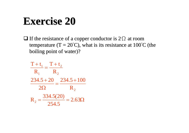# **Exercise 20 Exercise 20**

 $\Box$  If the resistance of a copper conductor is 2 $\Omega$  at room temperature (T =  $20^{\circ}$ C), what is its resistance at 100 $^{\circ}$ C (the boiling point of water)?

$$
\frac{T + t_1}{R_1} = \frac{T + t_2}{R_2}
$$
  

$$
\frac{234.5 + 20}{2\Omega} = \frac{234.5 + 100}{R_2}
$$
  

$$
R_2 = \frac{334.5(20)}{254.5} = 2.63\Omega
$$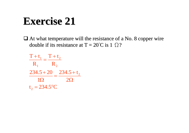# **Exercise 21 Exercise 21**

 $\Box$  At what temperature will the resistance of a No. 8 copper wire double if its resistance at T = 20°C is 1  $\Omega$ ?

$$
\frac{T + t_1}{R_1} = \frac{T + t_2}{R_2}
$$
  

$$
\frac{234.5 + 20}{10} = \frac{234.5 + t_2}{20}
$$
  

$$
t_2 = 234.5 \text{°C}
$$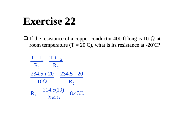# **Exercise 22 Exercise 22**

 $\Box$  If the resistance of a copper conductor 400 ft long is 10  $\Omega$  at room temperature (T =  $20^{\circ}$ C), what is its resistance at -20 $^{\circ}$ C?

$$
\frac{T + t_1}{R_1} = \frac{T + t_2}{R_2}
$$
  

$$
\frac{234.5 + 20}{10\Omega} = \frac{234.5 - 20}{R_2}
$$
  

$$
R_2 = \frac{214.5(10)}{254.5} = 8.43\Omega
$$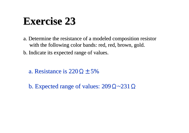# **Exercise 23 Exercise 23**

- a. Determine the resistance of a modeled composition resistor with the following color bands: red, red, brown, gold.
- b. Indicate its expected range of values. b. Indicate its expected range of values.
	- a. Resistance is 220Ω $±5%$
	- b. Expected range of values:  $209\Omega$ ~231 $\Omega$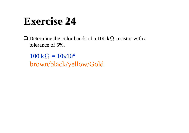# **Exercise 24 Exercise 24**

 $\Box$  Determine the color bands of a 100 kΩ resistor with a tolerance of 5%.

 $100 \text{ k}\Omega = 10 \times 10^4$ brown/black/yellow/Gold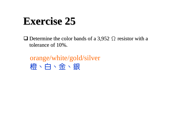# **Exercise 25 Exercise 25**

 $\Box$  Determine the color bands of a 3,952  $\Omega$  resistor with a tolerance of 10%.

orange/white/gold/silver 橙、白、金、銀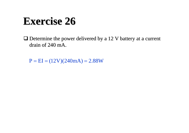# **Exercise 26 Exercise 26**

 $\Box$  Determine the power delivered by a 12 V battery at a current drain of 240 mA.

 $P = EI = (12V)(240mA) = 2.88W$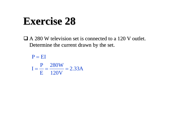## **Exercise 28 Exercise 28**

 $\Box$  A 280 W television set is connected to a 120 V outlet. Determine the current drawn by the set.

 $\frac{28844}{120V} = 2.33A$ 280W  $\mathbf E$ P $I = - = P = EI$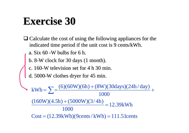# **Exercise 30 Exercise 30**

- $\Box$  Calculate the cost of using the following appliances for the indicated time period if the unit cost is 9 cents/kWh.
	- a. Six  $60$  -W bulbs for 6 h.
	- b. 8-W clock for 30 days (1 month).
	- c. 160-W television set for 4 h 30 min.
	- d. 5000-W clothes dryer for 45 min.

 $Cost = (12.39kWh)(9cents / kWh) = 111.51cents$ 12.39kWh 1000  $\frac{(160W)(4.5h) + (5000W)(3/4h)}{h}$ 1000  $kWh = \sum_{n=0}^{\infty} \frac{(6)(60W)(6h) + (8W)(30 days)(24h / day)}{kWh} +$  $\hspace{0.1mm} + \hspace{0.1mm}$  $=\sum_{n=0}^{\infty} \frac{(6)(60W)(6h)^{n}}{2\pi}$  $=\sum$ =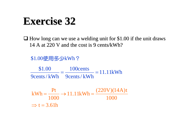## **Exercise 32 Exercise 32**

 $\Box$  How long can we use a welding unit for \$1.00 if the unit draws 14 A at 220 V and the cost is 9 cents/kWh? 14 A at 220 V and the cost is 9 cents/kWh?

\$1.00使用多少kWh?  $\frac{18888 \text{ m/s}}{9 \text{cents}} = 11.11 \text{kWh}$ 100cents 9cents/ kWh \$1.00 1000  $\frac{\text{Pt}}{1000} \rightarrow 11.11 \text{kWh} = \frac{(220 \text{V})(14 \text{A}) \text{t}}{1000}$ Pt $kWh = \frac{1}{100} \rightarrow 11.11$  kWh =

 $\Rightarrow$  t = 3.61h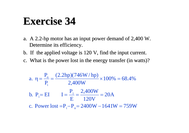### **Exercise 34 Exercise 34**

- a. A 2.2-hp motor has an input power demand of 2,400 W. Determine its efficiency.
- b. If the applied voltage is  $120$  V, find the input current.
- c. What is the power lost in the energy transfer (in watts)?

a. 
$$
\eta = \frac{P_o}{P_i} = \frac{(2.2 \text{hp})(746 \text{W/hp})}{2,400 \text{W}} \times 100\% = 68.4\%
$$
  
b.  $P_i = EI$   $I = \frac{P_i}{E} = \frac{2,400 \text{W}}{120 \text{V}} = 20 \text{A}$   
c. Power lost  $= P_i - P_o = 2400 \text{W} - 1641 \text{W} = 759 \text{W}$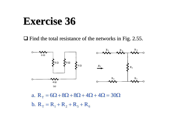#### **Exercise 36 Exercise 36**

 $\Box$  Find the total resistance of the networks in Fig. 2.55.



b.  $R_T = R_1 + R_2 + R_5 + R_6$ a.  $R_T = 6\Omega + 8\Omega + 8\Omega + 4\Omega + 4\Omega = 30\Omega$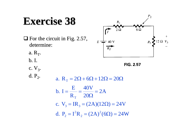# **Exercise 38 Exercise 38**

 $\Box$  For the circuit in Fig. 2.57,  $\frac{1}{2}$  40 V  $R_3$ determine:  $\overrightarrow{R_T}$ a.  $R_T$ . b. I. **FIG. 2.57** c.  $V_3$ . d.  $P_2$ . a. R<sub>T</sub> =  $2\Omega$  +  $6\Omega$  +  $12\Omega$  =  $20\Omega$ E40V  $b. I = \frac{184}{20\Omega} = 2A$  $=$   $=$  $\overline{\overline{\Omega}} =$ R  $\rm T$ c.  $V_3 = IR_3 = (2A)(12\Omega) = 24V$ d.  $P_2 = I^2 R_2 = (2A)^2 (6\Omega) = 24W$  $P_2 = I^2 R_2 = (2A)^2 (6\Omega) =$ 

 $P<sub>2</sub>$ 

 $6\Omega$ 

 $R_1$ 

 $2\Omega$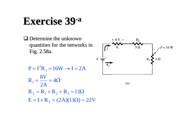#### **Exercise 39 Exercise 39 - a**

 $\Box$  Determine the unknown quantities for the networks in quantities for the networks in Fig. 2.58a.



$$
P = I2R3 = 16W \rightarrow I = 2A
$$
  
\n
$$
R1 = \frac{8V}{2A} = 4\Omega
$$
  
\n
$$
RT = R1 + R2 + R3 = 11\Omega
$$
  
\n
$$
E = I \times RT = (2A)(11\Omega) = 22V
$$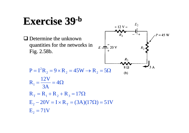#### **Exercise 39 Exercise 39 - b**

 $\Box$  Determine the unknown quantities for the networks in quantities for the networks in Fig. 2.58b.



$$
P = I^2 R_2 = 9 \times R_2 = 45W \rightarrow R_2 = 5\Omega
$$

$$
R_1 = \frac{12V}{3A} = 4\Omega
$$
  
\n
$$
R_T = R_1 + R_2 + R_3 = 17\Omega
$$
  
\n
$$
E_2 - 20V = I \times R_T = (3A)(17\Omega) = 51V
$$
  
\n
$$
E_2 = 71V
$$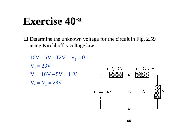#### **Exercise 40 Exercise 40-a**

 $\Box$  Determine the unknown voltage for the circuit in Fig. 2.59 using Kirchhoff's voltage law.

 $V_5 = V_3 = 23V$  $V_4 = 16V - 5V = 11V$  $V_3 = 23V$  $16V - 5V + 12V - V_3 = 0$ 

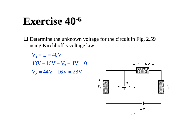## **Exercise 40 Exercise 40-<sup>6</sup>**

 $\Box$  Determine the unknown voltage for the circuit in Fig. 2.59 using Kirchhoff's voltage law.

 $V_2 = 44V - 16V = 28V$  $40V - 16V - V_2 + 4V = 0$  $V_3 = E = 40V$ 

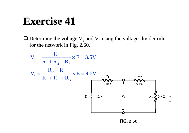# **Exercise 41 Exercise 41**

 $\Box$  Determine the voltage V<sub>3</sub> and V<sub>4</sub> using the voltage-divider rule for the network in Fig.  $2.60$ .

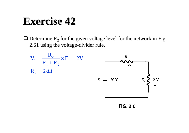#### **Exercise 42 Exercise 42**

 $\Box$  Determine R<sub>2</sub> for the given voltage level for the network in Fig. 2.61 using the voltage-divider rule.

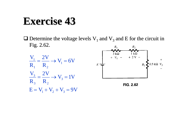#### **Exercise 43 Exercise 43**

 $\Box$  Determine the voltage levels V<sub>1</sub> and V<sub>3</sub> and E for the circuit in Fig.  $2.62$ .



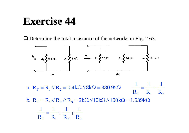### **Exercise 44 Exercise 44**

 $\Box$  Determine the total resistance of the networks in Fig. 2.63.



 $R_1$   $R_2$   $R_3$ b.  $R_T = R_1 / / R_2 / / R_3 = 2k\Omega / / 10k\Omega / / 100k\Omega = 1.639k\Omega$  $T = \mathbf{1}$   $\mathbf{1}$   $\mathbf{1}$   $\mathbf{2}$  $R_{\rm T}$   $R_{\rm t}$   $R_{\rm t}$  R 1 R 1 R 1 R  $\frac{1}{-} = \frac{1}{-} + \frac{1}{-} +$ 1 R 1 R a.  $R_r = R_1 / R_2 = 0.4 k\Omega / 8 k\Omega = 380.95\Omega$   $\frac{1}{1} = \frac{1}{1} + \frac{1}{1}$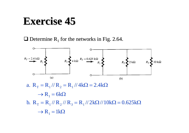#### **Exercise 45 Exercise 45**

**Q** Determine R<sub>1</sub> for the networks in Fig. 2.64.

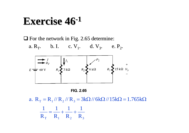#### **Exercise 46 Exercise 46-<sup>1</sup>**

 $\Box$  For the network in Fig. 2.65 determine:

a.  $R_T$ . b. I. c.  $V_1$ . d.  $V_3$ . e.  $P_2$ .





 $R_1$   $R_2$   $R_3$ a.  $R_T = R_1 / / R_2 / / R_3 = 3k\Omega / / 6k\Omega / / 15k\Omega = 1.765k\Omega$ 1 R 1 R 1 R  $\frac{1}{-} = \frac{1}{-} + \frac{1}{-} +$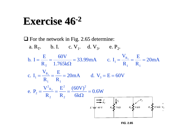#### **Exercise 46 Exercise 46-<sup>2</sup>**

 $\Box$  For the network in Fig. 2.65 determine:

a.  $R_T$ . b. I. c.  $V_1$ . d.  $V_2$ . e.  $P_2$ .  $\frac{\partial V}{\partial kQ} = 0.6W$ (60V) R  $\mathbf E$ R e.  $P_2 = \frac{V}{V}$ 20mA d.  $V_0 = E = 60V$ R  $\mathbf E$ R c.  $I_1 = \frac{V_1}{V_2}$  $\frac{\Sigma}{R_1}$  = 20mA  $\mathbf E$ R 33.99mA c. I<sub>1</sub> =  $\frac{V_1}{V_2}$ 1.765k 60V R E $b. I = -$ 2 2 2 2 R 2 2 3  $1 \quad \mathbf{I}$  $_1 = \frac{R}{R}$  $1 \quad \mathbf{I}$  $_1 = \frac{R}{R}$ T2 1  $= 33.99 \text{mA}$  c.  $I_1 = \frac{R_1}{R_2} = \frac{1}{1} =$  $\overline{\overline{\Omega}}$  = =----- $\equiv$   $\Longrightarrow$   $\equiv$   $\Longrightarrow$   $\equiv$   $\angle$  VIIIA  $\equiv$  0.  $\sqrt{2}$   $\equiv$   $\equiv$   $\equiv$  $\Omega$  $=$   $=$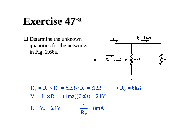#### **Exercise 47 Exercise 47-a**

 $\Box$  Determine the unknown quantities for the networks quantities for the networks in Fig. 2.66a.



$$
R_T = R_1 / / R_2 = 6k\Omega / / R_1 = 3k\Omega \qquad \rightarrow R_2 = 6k\Omega
$$
  

$$
V_2 = I_2 \times R_2 = (4ma)(6k\Omega) = 24V
$$
  

$$
E = V_2 = 24V \qquad I = \frac{E}{R_T} = 8mA
$$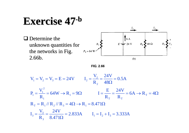## **Exercise 47 Exercise 47-<sup>b</sup>**





$$
V_1 = V_2 = V_3 = E = 24V
$$
  
\n
$$
I_2 = \frac{V_2}{R_2} = \frac{24V}{48\Omega} = 0.5A
$$
  
\n
$$
P_1 = \frac{V_1^2}{R_1} = 64W \rightarrow R_1 = 9\Omega
$$
  
\n
$$
I = \frac{E}{R_T} = \frac{24V}{R_T} = 6A \rightarrow R_T = 4\Omega
$$
  
\n
$$
R_T = R_1 / / R_2 / / R_3 = 4\Omega \rightarrow R_1 = 8.471\Omega
$$
  
\n
$$
I_3 = \frac{V_3}{R_3} = \frac{24V}{8.471\Omega} = 2.833A
$$
  
\n
$$
I_1 = I_2 + I_3 = 3.333A
$$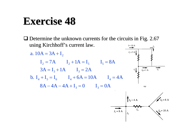# **Exercise 48 Exercise 48**

 $\Box$  Determine the unknown currents for the circuits in Fig. 2.67 using Kirchhoff's current law.  $I = 10 A$  $I_1 = 3 \text{ A}$ a.  $10A = 3A + I_2$  $I_2 = 7A$   $I_2 + 1A = I_5$   $I_5 = 8A$  $I_4 = 1 \text{ A}$  $\overrightarrow{I_5}$  $3A = I_3 + 1A$   $I_3 = 2A$ b.  $I_4 + I_5 = I_6$   $I_4 + 6A = 10A$   $I_4 = 4A$  $8A - 4A - 4A + I_3 = 0$   $I_3 = 0A$  $(a)$  $I_5 = 6 \text{ A}$  $I_2 = 4 \text{ A}$  $I_1 = 8 \text{ A}$  $\sqrt{l_6}$  = 10 A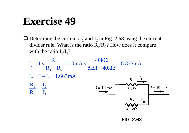## **Exercise 49 Exercise 49**

 $\Box$  Determine the currents I<sub>1</sub> and I<sub>2</sub> in Fig. 2.68 using the current divider rule. What is the ratio  $R_1/R_2$ ? How does it compare with the ratio  $I_1/I_2$ ?



**FIG. 2.68**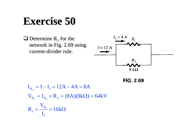### **Exercise 50 Exercise 50**

 $\Box$  Determine R<sub>1</sub> for the network in Fig. 2.69 using current-divider rule.



**FIG. 2.69** 

 $=\frac{R_1}{I_1}=16k\Omega$  $V_{R_2} = I_{R_2} \times R_2 = (8A)(8kΩ) = 64kV$  $I_{R_2} = I - I_1 = 12A - 4A = 8A$  $R_{\scriptscriptstyle 1} = \frac{V_{\scriptscriptstyle 2}}{V_{\scriptscriptstyle 3}}$ 1R 1 1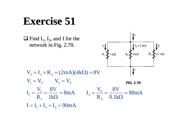# **Exercise 51 Exercise 51**

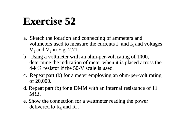# **Exercise 52**

- a. Sketch the location and connecting of ammeters and voltmeters used to measure the currents  $I_1$  and  $I_3$  and voltages  $V_1$  and  $V_3$  in Fig. 2.71.
- b. Using a voltmeter with an ohm-per-volt rating of 1000, determine the indication of meter when it is placed across the  $4-k\Omega$  resistor if the 50-V scale is used.
- c. Repeat part (b) for a meter employing an ohm-per-volt rating of 20,000.
- d. Repeat part (b) for a DMM with an internal resistance of 11  $M\Omega$ .
- e. Show the connection for a wattmeter reading the power delivered to  $R_3$  and  $R_4$ .